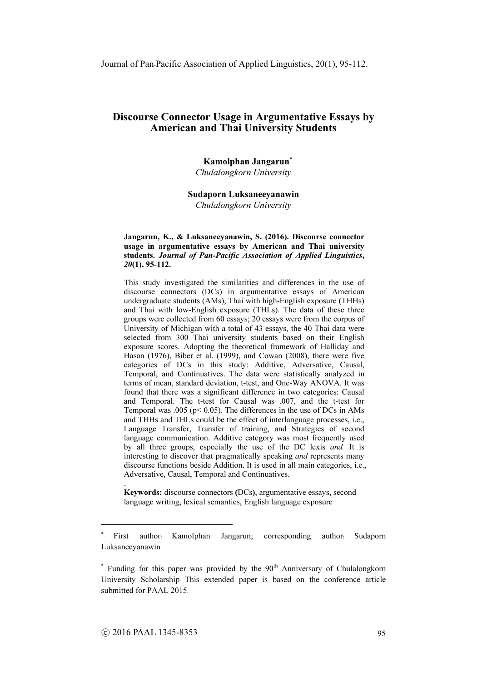# Kamolphan Jangarun<sup>∗</sup> Chulalongkorn University

# Sudaporn Luksaneeyanawin

Chulalongkorn University

#### Jangarun, K., & Luksaneeyanawin, S. (2016). Discourse connector usage in argumentative essays by American and Thai university students. Journal of Pan-Pacific Association of Applied Linguistics, 20(1), 95-112.

This study investigated the similarities and differences in the use of discourse connectors (DCs) in argumentative essays of American undergraduate students (AMs), Thai with high-English exposure (THHs) and Thai with low-English exposure (THLs). The data of these three groups were collected from 60 essays; 20 essays were from the corpus of University of Michigan with a total of 43 essays, the 40 Thai data were selected from 300 Thai university students based on their English exposure scores. Adopting the theoretical framework of Halliday and Hasan (1976), Biber et al. (1999), and Cowan (2008), there were five categories of DCs in this study: Additive, Adversative, Causal, Temporal, and Continuatives. The data were statistically analyzed in terms of mean, standard deviation, t-test, and One-Way ANOVA. It was found that there was a significant difference in two categories: Causal and Temporal. The t-test for Causal was .007, and the t-test for Temporal was .005 (p< 0.05). The differences in the use of DCs in AMs and THHs and THLs could be the effect of interlanguage processes, i.e., Language Transfer, Transfer of training, and Strategies of second language communication. Additive category was most frequently used by all three groups, especially the use of the DC lexis and. It is interesting to discover that pragmatically speaking and represents many discourse functions beside Addition. It is used in all main categories, i.e., Adversative, Causal, Temporal and Continuatives.

Keywords: discourse connectors (DCs), argumentative essays, second language writing, lexical semantics, English language exposure

.

<sup>∗</sup> First author: Kamolphan Jangarun; corresponding author: Sudaporn Luksaneeyanawin.

 $*$  Funding for this paper was provided by the  $90<sup>th</sup>$  Anniversary of Chulalongkorn University Scholarship. This extended paper is based on the conference article submitted for PAAL 2015.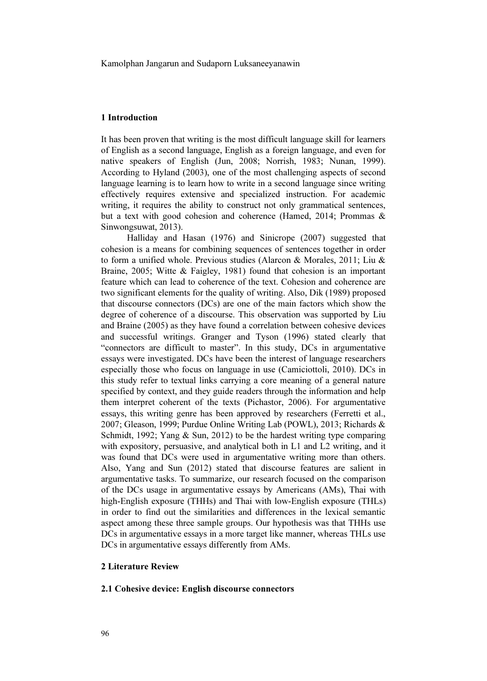## 1 Introduction

It has been proven that writing is the most difficult language skill for learners of English as a second language, English as a foreign language, and even for native speakers of English (Jun, 2008; Norrish, 1983; Nunan, 1999). According to Hyland (2003), one of the most challenging aspects of second language learning is to learn how to write in a second language since writing effectively requires extensive and specialized instruction. For academic writing, it requires the ability to construct not only grammatical sentences, but a text with good cohesion and coherence (Hamed, 2014; Prommas & Sinwongsuwat, 2013).

Halliday and Hasan (1976) and Sinicrope (2007) suggested that cohesion is a means for combining sequences of sentences together in order to form a unified whole. Previous studies (Alarcon & Morales, 2011; Liu & Braine, 2005; Witte & Faigley, 1981) found that cohesion is an important feature which can lead to coherence of the text. Cohesion and coherence are two significant elements for the quality of writing. Also, Dik (1989) proposed that discourse connectors (DCs) are one of the main factors which show the degree of coherence of a discourse. This observation was supported by Liu and Braine (2005) as they have found a correlation between cohesive devices and successful writings. Granger and Tyson (1996) stated clearly that "connectors are difficult to master". In this study, DCs in argumentative essays were investigated. DCs have been the interest of language researchers especially those who focus on language in use (Camiciottoli, 2010). DCs in this study refer to textual links carrying a core meaning of a general nature specified by context, and they guide readers through the information and help them interpret coherent of the texts (Pichastor, 2006). For argumentative essays, this writing genre has been approved by researchers (Ferretti et al., 2007; Gleason, 1999; Purdue Online Writing Lab (POWL), 2013; Richards & Schmidt, 1992; Yang & Sun, 2012) to be the hardest writing type comparing with expository, persuasive, and analytical both in L1 and L2 writing, and it was found that DCs were used in argumentative writing more than others. Also, Yang and Sun (2012) stated that discourse features are salient in argumentative tasks. To summarize, our research focused on the comparison of the DCs usage in argumentative essays by Americans (AMs), Thai with high-English exposure (THHs) and Thai with low-English exposure (THLs) in order to find out the similarities and differences in the lexical semantic aspect among these three sample groups. Our hypothesis was that THHs use DCs in argumentative essays in a more target like manner, whereas THLs use DCs in argumentative essays differently from AMs.

### 2 Literature Review

## 2.1 Cohesive device: English discourse connectors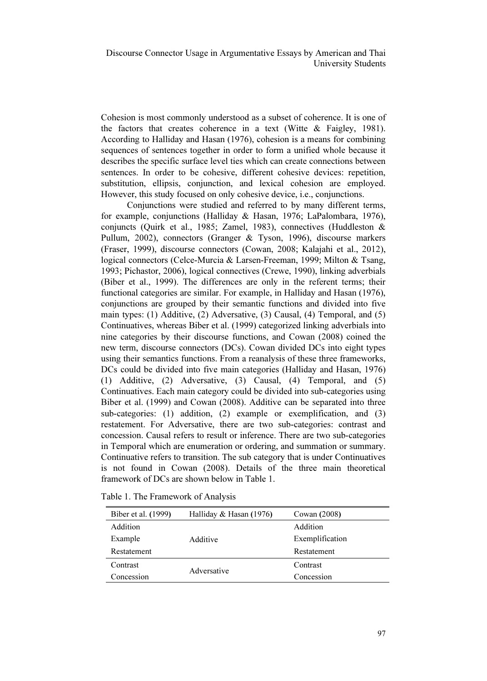Cohesion is most commonly understood as a subset of coherence. It is one of the factors that creates coherence in a text (Witte & Faigley, 1981). According to Halliday and Hasan (1976), cohesion is a means for combining sequences of sentences together in order to form a unified whole because it describes the specific surface level ties which can create connections between sentences. In order to be cohesive, different cohesive devices: repetition, substitution, ellipsis, conjunction, and lexical cohesion are employed. However, this study focused on only cohesive device, i.e., conjunctions.

Conjunctions were studied and referred to by many different terms, for example, conjunctions (Halliday & Hasan, 1976; LaPalombara, 1976), conjuncts (Quirk et al., 1985; Zamel, 1983), connectives (Huddleston & Pullum, 2002), connectors (Granger & Tyson, 1996), discourse markers (Fraser, 1999), discourse connectors (Cowan, 2008; Kalajahi et al., 2012), logical connectors (Celce-Murcia & Larsen-Freeman, 1999; Milton & Tsang, 1993; Pichastor, 2006), logical connectives (Crewe, 1990), linking adverbials (Biber et al., 1999). The differences are only in the referent terms; their functional categories are similar. For example, in Halliday and Hasan (1976), conjunctions are grouped by their semantic functions and divided into five main types: (1) Additive, (2) Adversative, (3) Causal, (4) Temporal, and (5) Continuatives, whereas Biber et al. (1999) categorized linking adverbials into nine categories by their discourse functions, and Cowan (2008) coined the new term, discourse connectors (DCs). Cowan divided DCs into eight types using their semantics functions. From a reanalysis of these three frameworks, DCs could be divided into five main categories (Halliday and Hasan, 1976) (1) Additive, (2) Adversative, (3) Causal, (4) Temporal, and (5) Continuatives. Each main category could be divided into sub-categories using Biber et al. (1999) and Cowan (2008). Additive can be separated into three sub-categories: (1) addition, (2) example or exemplification, and (3) restatement. For Adversative, there are two sub-categories: contrast and concession. Causal refers to result or inference. There are two sub-categories in Temporal which are enumeration or ordering, and summation or summary. Continuative refers to transition. The sub category that is under Continuatives is not found in Cowan (2008). Details of the three main theoretical framework of DCs are shown below in Table 1.

| Biber et al. (1999) | Halliday & Hasan (1976) | Cowan (2008)    |
|---------------------|-------------------------|-----------------|
| Addition            |                         | Addition        |
| Example             | Additive                | Exemplification |
| Restatement         |                         | Restatement     |
| Contrast            | Adversative             | Contrast        |
| Concession          |                         | Concession      |

Table 1. The Framework of Analysis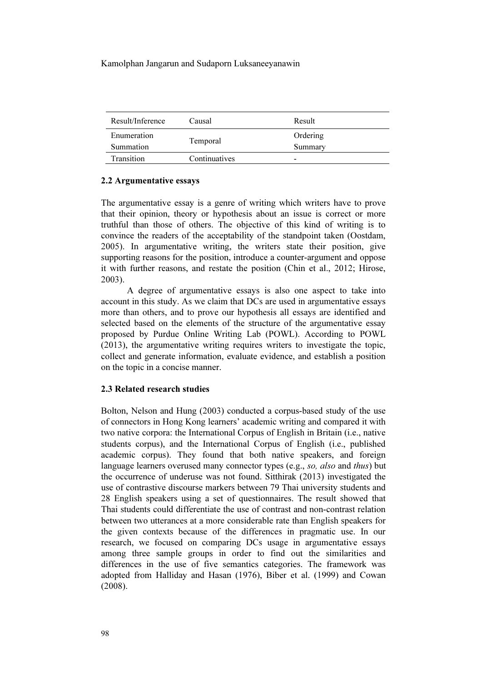| Result/Inference | Causal        | Result   |
|------------------|---------------|----------|
| Enumeration      |               | Ordering |
| Summation        | Temporal      | Summary  |
| Transition       | Continuatives | -        |

## 2.2 Argumentative essays

The argumentative essay is a genre of writing which writers have to prove that their opinion, theory or hypothesis about an issue is correct or more truthful than those of others. The objective of this kind of writing is to convince the readers of the acceptability of the standpoint taken (Oostdam, 2005). In argumentative writing, the writers state their position, give supporting reasons for the position, introduce a counter-argument and oppose it with further reasons, and restate the position (Chin et al., 2012; Hirose, 2003).

A degree of argumentative essays is also one aspect to take into account in this study. As we claim that DCs are used in argumentative essays more than others, and to prove our hypothesis all essays are identified and selected based on the elements of the structure of the argumentative essay proposed by Purdue Online Writing Lab (POWL). According to POWL (2013), the argumentative writing requires writers to investigate the topic, collect and generate information, evaluate evidence, and establish a position on the topic in a concise manner.

## 2.3 Related research studies

Bolton, Nelson and Hung (2003) conducted a corpus-based study of the use of connectors in Hong Kong learners' academic writing and compared it with two native corpora: the International Corpus of English in Britain (i.e., native students corpus), and the International Corpus of English (i.e., published academic corpus). They found that both native speakers, and foreign language learners overused many connector types (e.g., so, also and thus) but the occurrence of underuse was not found. Sitthirak (2013) investigated the use of contrastive discourse markers between 79 Thai university students and 28 English speakers using a set of questionnaires. The result showed that Thai students could differentiate the use of contrast and non-contrast relation between two utterances at a more considerable rate than English speakers for the given contexts because of the differences in pragmatic use. In our research, we focused on comparing DCs usage in argumentative essays among three sample groups in order to find out the similarities and differences in the use of five semantics categories. The framework was adopted from Halliday and Hasan (1976), Biber et al. (1999) and Cowan (2008).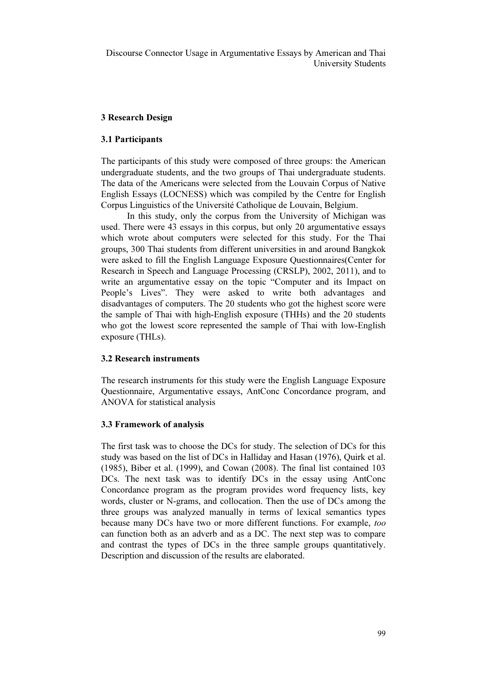# 3 Research Design

# 3.1 Participants

The participants of this study were composed of three groups: the American undergraduate students, and the two groups of Thai undergraduate students. The data of the Americans were selected from the Louvain Corpus of Native English Essays (LOCNESS) which was compiled by the Centre for English Corpus Linguistics of the Université Catholique de Louvain, Belgium.

In this study, only the corpus from the University of Michigan was used. There were 43 essays in this corpus, but only 20 argumentative essays which wrote about computers were selected for this study. For the Thai groups, 300 Thai students from different universities in and around Bangkok were asked to fill the English Language Exposure Questionnaires(Center for Research in Speech and Language Processing (CRSLP), 2002, 2011), and to write an argumentative essay on the topic "Computer and its Impact on People's Lives". They were asked to write both advantages and disadvantages of computers. The 20 students who got the highest score were the sample of Thai with high-English exposure (THHs) and the 20 students who got the lowest score represented the sample of Thai with low-English exposure (THLs).

# 3.2 Research instruments

The research instruments for this study were the English Language Exposure Questionnaire, Argumentative essays, AntConc Concordance program, and ANOVA for statistical analysis

### 3.3 Framework of analysis

The first task was to choose the DCs for study. The selection of DCs for this study was based on the list of DCs in Halliday and Hasan (1976), Quirk et al. (1985), Biber et al. (1999), and Cowan (2008). The final list contained 103 DCs. The next task was to identify DCs in the essay using AntConc Concordance program as the program provides word frequency lists, key words, cluster or N-grams, and collocation. Then the use of DCs among the three groups was analyzed manually in terms of lexical semantics types because many DCs have two or more different functions. For example, too can function both as an adverb and as a DC. The next step was to compare and contrast the types of DCs in the three sample groups quantitatively. Description and discussion of the results are elaborated.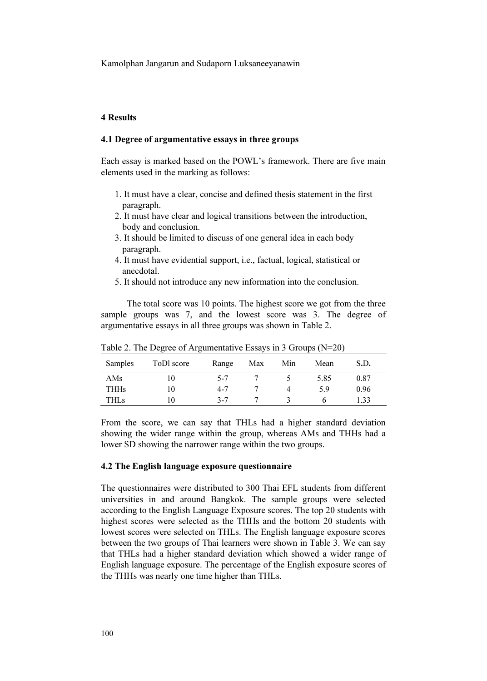# 4 Results

#### 4.1 Degree of argumentative essays in three groups

Each essay is marked based on the POWL's framework. There are five main elements used in the marking as follows:

- 1. It must have a clear, concise and defined thesis statement in the first paragraph.
- 2. It must have clear and logical transitions between the introduction, body and conclusion.
- 3. It should be limited to discuss of one general idea in each body paragraph.
- 4. It must have evidential support, i.e., factual, logical, statistical or anecdotal.
- 5. It should not introduce any new information into the conclusion.

The total score was 10 points. The highest score we got from the three sample groups was 7, and the lowest score was 3. The degree of argumentative essays in all three groups was shown in Table 2.

| Samples     | ToDl score | Range   | Max | Min | Mean | S.D. |
|-------------|------------|---------|-----|-----|------|------|
| AMs         | 10         | $5 - 7$ |     |     | 5.85 | 0.87 |
| <b>THHs</b> | 10         | $4 - 7$ |     |     | 5.9  | 0.96 |
| THLs        | l ()       | $3 - 7$ |     |     |      | .33  |

Table 2. The Degree of Argumentative Essays in 3 Groups (N=20)

From the score, we can say that THLs had a higher standard deviation showing the wider range within the group, whereas AMs and THHs had a lower SD showing the narrower range within the two groups.

#### 4.2 The English language exposure questionnaire

The questionnaires were distributed to 300 Thai EFL students from different universities in and around Bangkok. The sample groups were selected according to the English Language Exposure scores. The top 20 students with highest scores were selected as the THHs and the bottom 20 students with lowest scores were selected on THLs. The English language exposure scores between the two groups of Thai learners were shown in Table 3. We can say that THLs had a higher standard deviation which showed a wider range of English language exposure. The percentage of the English exposure scores of the THHs was nearly one time higher than THLs.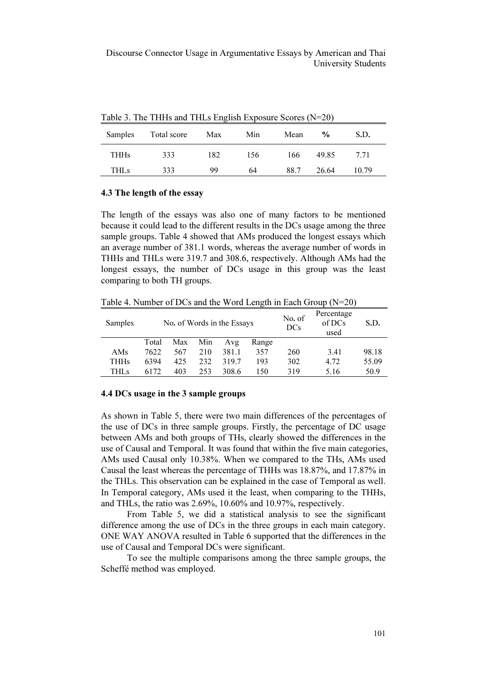|         | Twore 5. The THIT's and THE's English Exposure Secres $(11, 20)$ |      |     |      |               |       |  |  |  |  |  |
|---------|------------------------------------------------------------------|------|-----|------|---------------|-------|--|--|--|--|--|
| Samples | Total score                                                      | Max  | Min | Mean | $\frac{0}{0}$ | S.D.  |  |  |  |  |  |
| THHs    | 333                                                              | 182. | 156 | 166  | 49.85         | 7.71  |  |  |  |  |  |
| THLs    | 333                                                              | 99   | 64  | 88.7 | 26.64         | 10.79 |  |  |  |  |  |

Table 3. The THHs and THLs English Exposure Scores (N=20)

#### 4.3 The length of the essay

The length of the essays was also one of many factors to be mentioned because it could lead to the different results in the DCs usage among the three sample groups. Table 4 showed that AMs produced the longest essays which an average number of 381.1 words, whereas the average number of words in THHs and THLs were 319.7 and 308.6, respectively. Although AMs had the longest essays, the number of DCs usage in this group was the least comparing to both TH groups.

Table 4. Number of DCs and the Word Length in Each Group (N=20)

| Samples | No. of Words in the Essays |     |     |       |       | No. of<br>DCs | Percentage<br>of DCs<br>used | S.D.  |
|---------|----------------------------|-----|-----|-------|-------|---------------|------------------------------|-------|
|         | Total                      | Max | Min | Avg   | Range |               |                              |       |
| AMs     | 7622                       | 567 | 210 | 381.1 | 357   | 260           | 3.41                         | 98.18 |
| THHs    | 6394                       | 425 | 232 | 319.7 | 193   | 302           | 4.72                         | 55.09 |
| THL s   | 6172                       | 403 | 253 | 308.6 | 150   | 319           | 5.16                         | 50.9  |

#### 4.4 DCs usage in the 3 sample groups

As shown in Table 5, there were two main differences of the percentages of the use of DCs in three sample groups. Firstly, the percentage of DC usage between AMs and both groups of THs, clearly showed the differences in the use of Causal and Temporal. It was found that within the five main categories, AMs used Causal only 10.38%. When we compared to the THs, AMs used Causal the least whereas the percentage of THHs was 18.87%, and 17.87% in the THLs. This observation can be explained in the case of Temporal as well. In Temporal category, AMs used it the least, when comparing to the THHs, and THLs, the ratio was 2.69%, 10.60% and 10.97%, respectively.

From Table 5, we did a statistical analysis to see the significant difference among the use of DCs in the three groups in each main category. ONE WAY ANOVA resulted in Table 6 supported that the differences in the use of Causal and Temporal DCs were significant.

To see the multiple comparisons among the three sample groups, the Scheffé method was employed.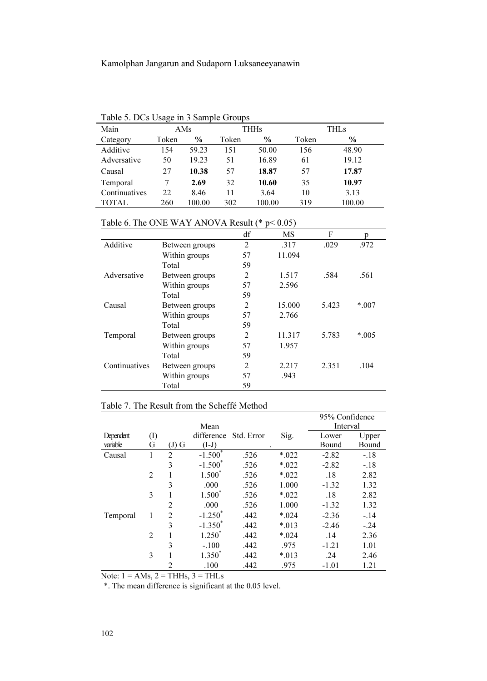| Table 5. DCs Usage in 3 Sample Groups |  |  |  |  |
|---------------------------------------|--|--|--|--|
|---------------------------------------|--|--|--|--|

|               | Table 5. DCs Osage in 5 Bangle Groups |        |       |               |       |             |  |  |  |  |  |
|---------------|---------------------------------------|--------|-------|---------------|-------|-------------|--|--|--|--|--|
| Main          |                                       | AMs    |       | <b>THHs</b>   |       | <b>THLs</b> |  |  |  |  |  |
| Category      | Token                                 | $\%$   | Token | $\frac{6}{9}$ | Token | $\%$        |  |  |  |  |  |
| Additive      | 154                                   | 59.23  | 151   | 50.00         | 156   | 48.90       |  |  |  |  |  |
| Adversative   | 50                                    | 19.23  | 51    | 16.89         | 61    | 19.12       |  |  |  |  |  |
| Causal        | 27                                    | 10.38  | 57    | 18.87         | 57    | 17.87       |  |  |  |  |  |
| Temporal      | 7                                     | 2.69   | 32    | 10.60         | 35    | 10.97       |  |  |  |  |  |
| Continuatives | 22                                    | 8.46   | 11    | 3.64          | 10    | 3.13        |  |  |  |  |  |
| <b>TOTAL</b>  | 260                                   | 100.00 | 302   | 100.00        | 319   | 100.00      |  |  |  |  |  |

# Table 6. The ONE WAY ANOVA Result (\* p< 0.05)

|               |                | df             | MS     | F     | n      |
|---------------|----------------|----------------|--------|-------|--------|
| Additive      | Between groups | $\overline{2}$ | .317   | .029  | .972   |
|               | Within groups  | 57             | 11.094 |       |        |
|               | Total          | 59             |        |       |        |
| Adversative   | Between groups | $\overline{2}$ | 1.517  | .584  | .561   |
|               | Within groups  | 57             | 2.596  |       |        |
|               | Total          | 59             |        |       |        |
| Causal        | Between groups | 2              | 15.000 | 5.423 | $*007$ |
|               | Within groups  | 57             | 2.766  |       |        |
|               | Total          | 59             |        |       |        |
| Temporal      | Between groups | $\overline{2}$ | 11.317 | 5.783 | $*005$ |
|               | Within groups  | 57             | 1.957  |       |        |
|               | Total          | 59             |        |       |        |
| Continuatives | Between groups | $\overline{2}$ | 2.217  | 2.351 | .104   |
|               | Within groups  | 57             | .943   |       |        |
|               | Total          | 59             |        |       |        |

# Table 7. The Result from the Scheffé Method

|           |                |                |                    |            |        | 95% Confidence |        |
|-----------|----------------|----------------|--------------------|------------|--------|----------------|--------|
|           |                |                | Mean               |            |        | Interval       |        |
| Dependent | $\rm (I)$      |                | difference         | Std. Error | Sig.   | Lower          | Upper  |
| variable  | G              | $(J)$ G        | $(I-J)$            |            |        | Bound          | Bound  |
| Causal    | 1              | $\overline{2}$ | $-1.500$           | .526       | $*022$ | $-2.82$        | $-.18$ |
|           |                | 3              | $-1.500^{\degree}$ | .526       | $*022$ | $-2.82$        | $-.18$ |
|           | $\overline{2}$ |                | $1.500^{\degree}$  | .526       | $*022$ | .18            | 2.82   |
|           |                | 3              | .000               | .526       | 1.000  | $-1.32$        | 1.32   |
|           | 3              |                | $1.500^*$          | .526       | $*022$ | .18            | 2.82   |
|           |                | $\overline{c}$ | .000               | .526       | 1.000  | $-1.32$        | 1.32   |
| Temporal  | 1              | 2              | $-1.250^{\degree}$ | .442       | $*024$ | $-2.36$        | $-.14$ |
|           |                | 3              | $-1.350^{\degree}$ | .442       | $*013$ | $-2.46$        | $-.24$ |
|           | $\overline{2}$ |                | $1.250^{\degree}$  | .442       | $*024$ | .14            | 2.36   |
|           |                | 3              | $-.100$            | .442       | .975   | $-1.21$        | 1.01   |
|           | 3              |                | 1.350              | .442       | $*013$ | .24            | 2.46   |
|           |                | $\overline{c}$ | .100               | .442       | .975   | $-1.01$        | 1.21   |

Note:  $1 = AMs$ ,  $2 = THHs$ ,  $3 = THLs$ 

\*. The mean difference is significant at the 0.05 level.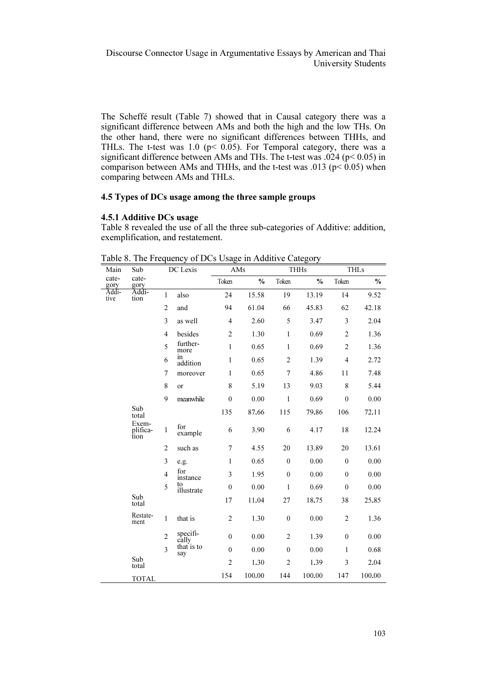The Scheffé result (Table 7) showed that in Causal category there was a significant difference between AMs and both the high and the low THs. On the other hand, there were no significant differences between THHs, and THLs. The t-test was 1.0 ( $p$  < 0.05). For Temporal category, there was a significant difference between AMs and THs. The t-test was .024 (p< 0.05) in comparison between AMs and THHs, and the t-test was .013 ( $p$  < 0.05) when comparing between AMs and THLs.

# 4.5 Types of DCs usage among the three sample groups

#### 4.5.1 Additive DCs usage

Table 8 revealed the use of all the three sub-categories of Additive: addition, exemplification, and restatement.

| Main          | Sub                       |                | DC Lexis          | AMs              |               |                  | <b>THHs</b>   |                  | <b>THLs</b>   |
|---------------|---------------------------|----------------|-------------------|------------------|---------------|------------------|---------------|------------------|---------------|
| cate-<br>gory | cate-<br>gory             |                |                   | Token            | $\frac{0}{0}$ | Token            | $\frac{0}{0}$ | Token            | $\frac{0}{0}$ |
| Addi-<br>tive | Addi-<br>tion             | 1              | also              | 24               | 15.58         | 19               | 13.19         | 14               | 9.52          |
|               |                           | $\overline{c}$ | and               | 94               | 61.04         | 66               | 45.83         | 62               | 42.18         |
|               |                           | 3              | as well           | $\overline{4}$   | 2.60          | 5                | 3.47          | 3                | 2.04          |
|               |                           | $\overline{4}$ | besides           | $\overline{c}$   | 1.30          | $\mathbf{1}$     | 0.69          | $\overline{2}$   | 1.36          |
|               |                           | 5              | further-<br>more  | $\mathbf{1}$     | 0.65          | 1                | 0.69          | $\overline{2}$   | 1.36          |
|               |                           | 6              | in<br>addition    | $\mathbf{1}$     | 0.65          | $\overline{c}$   | 1.39          | $\overline{4}$   | 2.72          |
|               |                           | 7              | moreover          | $\mathbf{1}$     | 0.65          | $\overline{7}$   | 4.86          | 11               | 7.48          |
|               |                           | 8              | <sub>or</sub>     | 8                | 5.19          | 13               | 9.03          | 8                | 5.44          |
|               |                           | 9              | meanwhile         | $\mathbf{0}$     | 0.00          | $\mathbf{1}$     | 0.69          | $\mathbf{0}$     | 0.00          |
|               | Sub<br>total              |                |                   | 135              | 87.66         | 115              | 79.86         | 106              | 72.11         |
|               | Exem-<br>plifica-<br>tion | $\mathbf{1}$   | for<br>example    | 6                | 3.90          | 6                | 4.17          | 18               | 12.24         |
|               |                           | $\overline{c}$ | such as           | 7                | 4.55          | 20               | 13.89         | 20               | 13.61         |
|               |                           | 3              | e.g.              | $\mathbf{1}$     | 0.65          | $\mathbf{0}$     | 0.00          | $\mathbf{0}$     | 0.00          |
|               |                           | $\overline{4}$ | for<br>instance   | 3                | 1.95          | $\mathbf{0}$     | 0.00          | $\mathbf{0}$     | 0.00          |
|               |                           | 5              | to<br>illustrate  | $\boldsymbol{0}$ | 0.00          | $\mathbf{1}$     | 0.69          | $\mathbf{0}$     | 0.00          |
|               | Sub<br>total              |                |                   | 17               | 11.04         | 27               | 18.75         | 38               | 25.85         |
|               | Restate-<br>ment          | $\mathbf{1}$   | that is           | $\mathfrak{2}$   | 1.30          | $\boldsymbol{0}$ | 0.00          | $\overline{2}$   | 1.36          |
|               |                           | $\overline{c}$ | specifi-<br>cally | $\boldsymbol{0}$ | 0.00          | $\overline{c}$   | 1.39          | $\boldsymbol{0}$ | 0.00          |
|               |                           | 3              | that is to<br>say | $\mathbf{0}$     | 0.00          | $\mathbf{0}$     | 0.00          | $\mathbf{1}$     | 0.68          |
|               | Sub<br>total              |                |                   | $\overline{c}$   | 1.30          | $\overline{c}$   | 1.39          | 3                | 2.04          |
|               | <b>TOTAL</b>              |                |                   | 154              | 100.00        | 144              | 100.00        | 147              | 100.00        |

Table 8. The Frequency of DCs Usage in Additive Category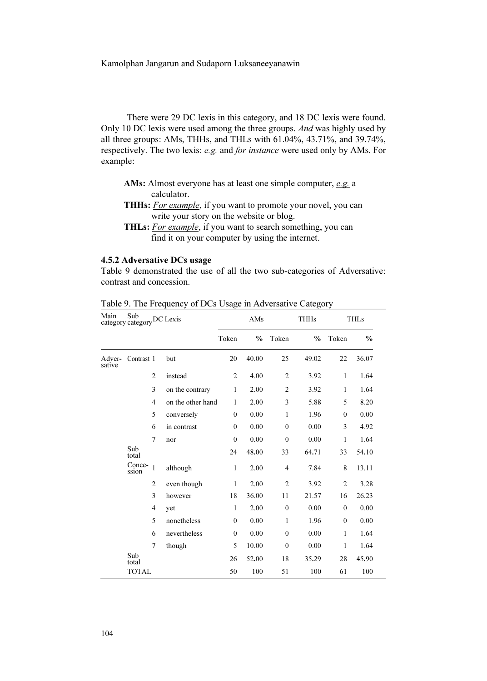There were 29 DC lexis in this category, and 18 DC lexis were found. Only 10 DC lexis were used among the three groups. And was highly used by all three groups: AMs, THHs, and THLs with 61.04%, 43.71%, and 39.74%, respectively. The two lexis: e.g. and for instance were used only by AMs. For example:

- AMs: Almost everyone has at least one simple computer,  $e.g.$  a calculator.
- THHs: For example, if you want to promote your novel, you can write your story on the website or blog.
- THLs: For example, if you want to search something, you can find it on your computer by using the internet.

# 4.5.2 Adversative DCs usage

Table 9 demonstrated the use of all the two sub-categories of Adversative: contrast and concession.

| Main             | Sub<br>category category DC Lexis |                                     |                 | AMs            |               | <b>THHs</b>    |               | <b>THLs</b>    |               |
|------------------|-----------------------------------|-------------------------------------|-----------------|----------------|---------------|----------------|---------------|----------------|---------------|
|                  |                                   |                                     |                 | Token          | $\frac{0}{0}$ | Token          | $\frac{0}{0}$ | Token          | $\frac{0}{0}$ |
| Adver-<br>sative | Contrast 1                        |                                     | but             | 20             | 40.00         | 25             | 49.02         | 22             | 36.07         |
|                  |                                   | $\overline{2}$                      | instead         | $\overline{c}$ | 4.00          | $\overline{c}$ | 3.92          | $\mathbf{1}$   | 1.64          |
|                  |                                   | 3                                   | on the contrary | $\mathbf{1}$   | 2.00          | $\overline{c}$ | 3.92          | 1              | 1.64          |
|                  |                                   | $\overline{4}$<br>on the other hand |                 | $\mathbf{1}$   | 2.00          | 3              | 5.88          | 5              | 8.20          |
|                  |                                   | 5                                   | conversely      | $\mathbf{0}$   | 0.00          | 1              | 1.96          | $\theta$       | 0.00          |
|                  |                                   | 6                                   | in contrast     | $\mathbf{0}$   | 0.00          | $\mathbf{0}$   | 0.00          | 3              | 4.92          |
|                  |                                   | $\overline{7}$                      | nor             | $\mathbf{0}$   | 0.00          | $\mathbf{0}$   | 0.00          | 1              | 1.64          |
|                  | Sub<br>total                      |                                     |                 | 24             | 48.00         | 33             | 64.71         | 33             | 54.10         |
|                  | Conce-<br>ssion                   | 1                                   | although        | $\mathbf{1}$   | 2.00          | $\overline{4}$ | 7.84          | 8              | 13.11         |
|                  |                                   | $\overline{2}$                      | even though     | $\mathbf{1}$   | 2.00          | $\overline{c}$ | 3.92          | $\overline{2}$ | 3.28          |
|                  |                                   | 3                                   | however         | 18             | 36.00         | 11             | 21.57         | 16             | 26.23         |
|                  |                                   | $\overline{4}$                      | yet             | $\mathbf{1}$   | 2.00          | $\theta$       | 0.00          | $\theta$       | 0.00          |
|                  |                                   | 5                                   | nonetheless     | $\mathbf{0}$   | 0.00          | 1              | 1.96          | $\theta$       | 0.00          |
|                  |                                   | 6                                   | nevertheless    | $\mathbf{0}$   | 0.00          | $\mathbf{0}$   | 0.00          | $\mathbf{1}$   | 1.64          |
|                  |                                   | $\overline{7}$                      | though          | 5              | 10.00         | $\mathbf{0}$   | 0.00          | 1              | 1.64          |
|                  | Sub<br>total                      |                                     |                 | 26             | 52.00         | 18             | 35.29         | 28             | 45.90         |
|                  | <b>TOTAL</b>                      |                                     |                 | 50             | 100           | 51             | 100           | 61             | 100           |

Table 9. The Frequency of DCs Usage in Adversative Category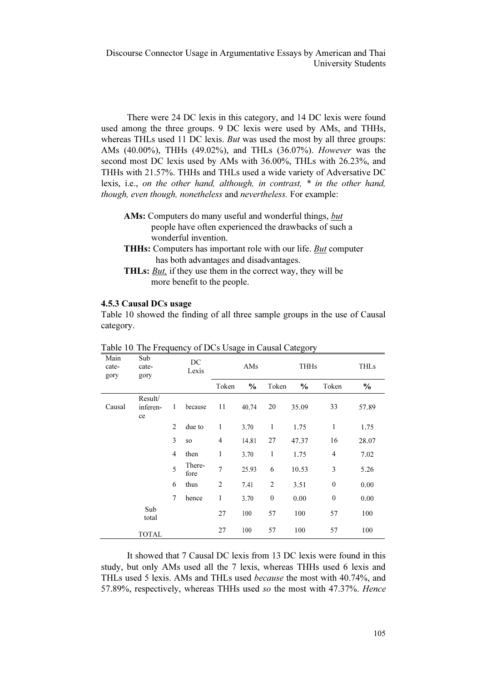There were 24 DC lexis in this category, and 14 DC lexis were found used among the three groups. 9 DC lexis were used by AMs, and THHs, whereas THLs used 11 DC lexis. *But* was used the most by all three groups: AMs (40.00%), THHs (49.02%), and THLs (36.07%). However was the second most DC lexis used by AMs with 36.00%, THLs with 26.23%, and THHs with 21.57%. THHs and THLs used a wide variety of Adversative DC lexis, i.e., on the other hand, although, in contrast, \* in the other hand, though, even though, nonetheless and nevertheless. For example:

- AMs: Computers do many useful and wonderful things, but people have often experienced the drawbacks of such a wonderful invention.
- THHs: Computers has important role with our life. But computer has both advantages and disadvantages.
- THLs: But, if they use them in the correct way, they will be more benefit to the people.

## 4.5.3 Causal DCs usage

Table 10 showed the finding of all three sample groups in the use of Causal category.

| Main<br>cate-<br>gory | Sub<br>cate-<br>gory      |                | DC<br>Lexis    |                | . ص<br>AMs    |                | ניים<br><b>THHs</b> |                  | <b>THLs</b>   |
|-----------------------|---------------------------|----------------|----------------|----------------|---------------|----------------|---------------------|------------------|---------------|
|                       |                           |                |                | Token          | $\frac{0}{0}$ | Token          | $\frac{0}{0}$       | Token            | $\frac{6}{6}$ |
| Causal                | Result/<br>inferen-<br>ce | 1              | because        | 11             | 40.74         | 20             | 35.09               | 33               | 57.89         |
|                       |                           | 2              | due to         | 1              | 3.70          | 1              | 1.75                | $\mathbf{1}$     | 1.75          |
|                       |                           | 3              | SO.            | $\overline{4}$ | 14.81         | 27             | 47.37               | 16               | 28.07         |
|                       |                           | $\overline{4}$ | then           | 1              | 3.70          | 1              | 1.75                | $\overline{4}$   | 7.02          |
|                       |                           | 5              | There-<br>fore | $\overline{7}$ | 25.93         | 6              | 10.53               | 3                | 5.26          |
|                       |                           | 6              | thus           | $\overline{c}$ | 7.41          | $\overline{2}$ | 3.51                | $\boldsymbol{0}$ | 0.00          |
|                       |                           | $\overline{7}$ | hence          | 1              | 3.70          | $\mathbf{0}$   | 0.00                | $\mathbf{0}$     | 0.00          |
|                       | Sub<br>total              |                |                | 27             | 100           | 57             | 100                 | 57               | 100           |
|                       | <b>TOTAL</b>              |                |                | 27             | 100           | 57             | 100                 | 57               | 100           |

Table 10. The Frequency of DCs Usage in Causal Category

It showed that 7 Causal DC lexis from 13 DC lexis were found in this study, but only AMs used all the 7 lexis, whereas THHs used 6 lexis and THLs used 5 lexis. AMs and THLs used because the most with 40.74%, and 57.89%, respectively, whereas THHs used so the most with 47.37%. Hence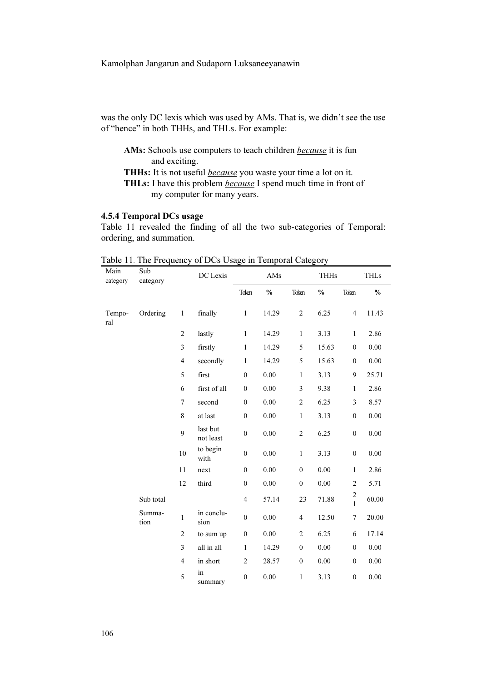was the only DC lexis which was used by AMs. That is, we didn't see the use of "hence" in both THHs, and THLs. For example:

AMs: Schools use computers to teach children *because* it is fun and exciting. THHs: It is not useful *because* you waste your time a lot on it.

THLs: I have this problem *because* I spend much time in front of my computer for many years.

# 4.5.4 Temporal DCs usage

Table 11 revealed the finding of all the two sub-categories of Temporal: ordering, and summation.

| Main<br>category | Sub<br>category |                | DC Lexis              |                  | AMs           |                  | <b>THHs</b>   |                                         | <b>THLs</b>   |
|------------------|-----------------|----------------|-----------------------|------------------|---------------|------------------|---------------|-----------------------------------------|---------------|
|                  |                 |                |                       | Token            | $\frac{0}{0}$ | Token            | $\frac{0}{0}$ | Token                                   | $\frac{0}{0}$ |
| Tempo-<br>ral    | Ordering        | $\mathbf{1}$   | finally               | $\mathbf{1}$     | 14.29         | $\overline{c}$   | 6.25          | $\overline{4}$                          | 11.43         |
|                  |                 | $\mathfrak{2}$ | lastly                | $\mathbf{1}$     | 14.29         | $\mathbf{1}$     | 3.13          | $\mathbf{1}$                            | 2.86          |
|                  |                 | 3              | firstly               | $\mathbf{1}$     | 14.29         | 5                | 15.63         | $\mathbf{0}$                            | 0.00          |
|                  |                 | $\overline{4}$ | secondly              | $\mathbf{1}$     | 14.29         | 5                | 15.63         | $\mathbf{0}$                            | 0.00          |
|                  |                 | 5              | first                 | $\mathbf{0}$     | 0.00          | $\mathbf{1}$     | 3.13          | 9                                       | 25.71         |
|                  |                 | 6              | first of all          | $\mathbf{0}$     | 0.00          | 3                | 9.38          | $\mathbf{1}$                            | 2.86          |
|                  |                 | $\overline{7}$ | second                | $\mathbf{0}$     | 0.00          | $\overline{c}$   | 6.25          | 3                                       | 8.57          |
|                  |                 | 8              | at last               | $\mathbf{0}$     | 0.00          | $\mathbf{1}$     | 3.13          | $\mathbf{0}$                            | 0.00          |
|                  |                 | $\mathbf Q$    | last but<br>not least | $\boldsymbol{0}$ | 0.00          | $\sqrt{2}$       | 6.25          | $\boldsymbol{0}$                        | 0.00          |
|                  |                 | 10             | to begin<br>with      | $\mathbf{0}$     | 0.00          | $\mathbf{1}$     | 3.13          | $\boldsymbol{0}$                        | 0.00          |
|                  |                 | 11             | next                  | $\mathbf{0}$     | 0.00          | $\boldsymbol{0}$ | 0.00          | $\mathbf{1}$                            | 2.86          |
|                  |                 | 12             | third                 | $\theta$         | 0.00          | $\mathbf{0}$     | 0.00          | $\overline{c}$                          | 5.71          |
|                  | Sub total       |                |                       | $\overline{4}$   | 57.14         | 23               | 71.88         | $\overline{\mathbf{c}}$<br>$\mathbf{1}$ | 60.00         |
|                  | Summa-<br>tion  | $\mathbf{1}$   | in conclu-<br>sion    | $\overline{0}$   | 0.00          | $\overline{4}$   | 12.50         | $\overline{7}$                          | 20.00         |
|                  |                 | $\mathfrak{2}$ | to sum up             | $\boldsymbol{0}$ | 0.00          | $\overline{c}$   | 6.25          | 6                                       | 17.14         |
|                  |                 | 3              | all in all            | $\mathbf{1}$     | 14.29         | $\mathbf{0}$     | 0.00          | $\mathbf{0}$                            | 0.00          |
|                  |                 | $\overline{4}$ | in short              | $\overline{2}$   | 28.57         | $\mathbf{0}$     | 0.00          | $\mathbf{0}$                            | 0.00          |
|                  |                 | 5              | in<br>summary         | $\overline{0}$   | 0.00          | 1                | 3.13          | $\overline{0}$                          | 0.00          |

Table 11. The Frequency of DCs Usage in Temporal Category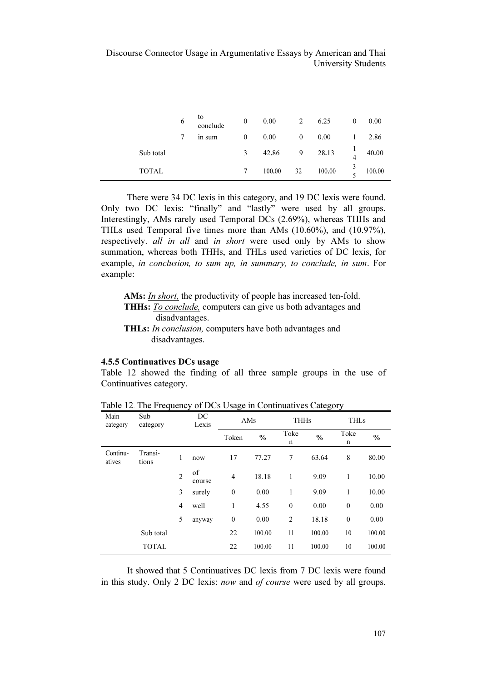|              | 6 | to<br>conclude | $\mathbf{0}$ | 0.00   | 2            | 6.25   | $\mathbf{0}$   | 0.00   |
|--------------|---|----------------|--------------|--------|--------------|--------|----------------|--------|
|              | 7 | in sum         | $\mathbf{0}$ | 0.00   | $\mathbf{0}$ | 0.00   |                | 2.86   |
| Sub total    |   |                | 3            | 42.86  | 9            | 28.13  | $\overline{4}$ | 40.00  |
| <b>TOTAL</b> |   |                |              | 100.00 | 32           | 100.00 |                | 100.00 |

There were 34 DC lexis in this category, and 19 DC lexis were found. Only two DC lexis: "finally" and "lastly" were used by all groups. Interestingly, AMs rarely used Temporal DCs (2.69%), whereas THHs and THLs used Temporal five times more than AMs (10.60%), and (10.97%), respectively. all in all and in short were used only by AMs to show summation, whereas both THHs, and THLs used varieties of DC lexis, for example, in conclusion, to sum up, in summary, to conclude, in sum. For example:

AMs: *In short*, the productivity of people has increased ten-fold. THHs: To conclude, computers can give us both advantages and disadvantages. THLs: In conclusion, computers have both advantages and disadvantages.

#### 4.5.5 Continuatives DCs usage

Table 12 showed the finding of all three sample groups in the use of Continuatives category.

| Main<br>category   | Sub<br>category  |                | DC<br>Lexis  | ۔ ت<br>AMs       |        | $\sim$ $\sim$<br><b>THHs</b> |               | <b>THLs</b>  |               |
|--------------------|------------------|----------------|--------------|------------------|--------|------------------------------|---------------|--------------|---------------|
|                    |                  |                |              | Token            | $\%$   | Toke<br>n                    | $\frac{0}{0}$ | Toke<br>n    | $\frac{0}{0}$ |
| Continu-<br>atives | Transi-<br>tions | 1              | now          | 17               | 77.27  | 7                            | 63.64         | 8            | 80.00         |
|                    |                  | $\overline{2}$ | of<br>course | $\overline{4}$   | 18.18  | 1                            | 9.09          | 1            | 10.00         |
|                    |                  | 3              | surely       | $\boldsymbol{0}$ | 0.00   | 1                            | 9.09          | 1            | 10.00         |
|                    |                  | $\overline{4}$ | well         | 1                | 4.55   | $\mathbf{0}$                 | 0.00          | $\mathbf{0}$ | 0.00          |
|                    |                  | 5              | anyway       | $\boldsymbol{0}$ | 0.00   | $\overline{2}$               | 18.18         | $\mathbf{0}$ | 0.00          |
|                    | Sub total        |                |              | 22               | 100.00 | 11                           | 100.00        | 10           | 100.00        |
|                    | <b>TOTAL</b>     |                |              | 22               | 100.00 | 11                           | 100.00        | 10           | 100.00        |

Table 12. The Frequency of DCs Usage in Continuatives Category

It showed that 5 Continuatives DC lexis from 7 DC lexis were found in this study. Only 2 DC lexis: now and of course were used by all groups.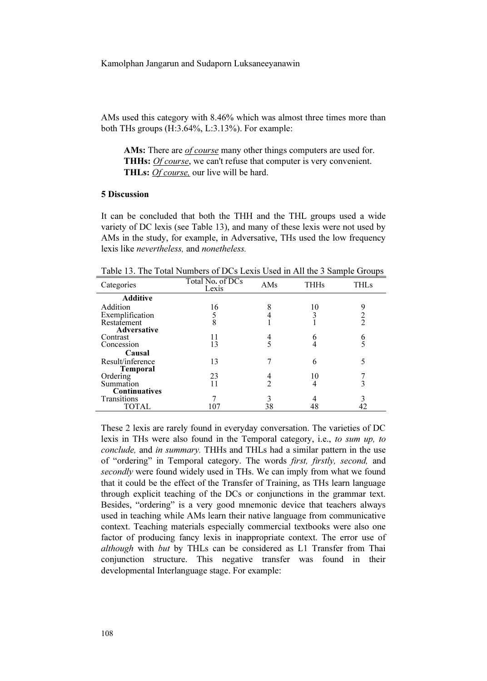AMs used this category with 8.46% which was almost three times more than both THs groups (H:3.64%, L:3.13%). For example:

AMs: There are *of course* many other things computers are used for. THHs: *Of course*, we can't refuse that computer is very convenient. THLs: *Of course*, our live will be hard.

# 5 Discussion

It can be concluded that both the THH and the THL groups used a wide variety of DC lexis (see Table 13), and many of these lexis were not used by AMs in the study, for example, in Adversative, THs used the low frequency lexis like nevertheless, and nonetheless.

Table 13. The Total Numbers of DCs Lexis Used in All the 3 Sample Groups

| Categories           | Total No. of DCs<br>Lexis | AMs           |    | THL s         |  |
|----------------------|---------------------------|---------------|----|---------------|--|
| <b>Additive</b>      |                           |               |    |               |  |
| Addition             | 16                        | 8             | 10 | 9             |  |
| Exemplification      |                           |               | 3  | $\frac{2}{2}$ |  |
| Restatement          | 8                         |               |    |               |  |
| <b>Adversative</b>   |                           |               |    |               |  |
| Contrast             | 11                        | 4             | 6  | 6             |  |
| Concession           | 13                        | 5             |    |               |  |
| Causal               |                           |               |    |               |  |
| Result/inference     | 13                        |               | 6  |               |  |
| <b>Temporal</b>      |                           |               |    |               |  |
| Ordering             | 23                        | $\frac{4}{2}$ | 10 |               |  |
| Summation            | 11                        |               | 4  |               |  |
| <b>Continuatives</b> |                           |               |    |               |  |
| Transitions          |                           | 3             |    |               |  |
| TOTAL                | 107                       | 38            | 48 |               |  |

These 2 lexis are rarely found in everyday conversation. The varieties of DC lexis in THs were also found in the Temporal category, i.e., to sum up, to conclude, and in summary. THHs and THLs had a similar pattern in the use of "ordering" in Temporal category. The words first, firstly, second, and secondly were found widely used in THs. We can imply from what we found that it could be the effect of the Transfer of Training, as THs learn language through explicit teaching of the DCs or conjunctions in the grammar text. Besides, "ordering" is a very good mnemonic device that teachers always used in teaching while AMs learn their native language from communicative context. Teaching materials especially commercial textbooks were also one factor of producing fancy lexis in inappropriate context. The error use of although with but by THLs can be considered as L1 Transfer from Thai conjunction structure. This negative transfer was found in their developmental Interlanguage stage. For example: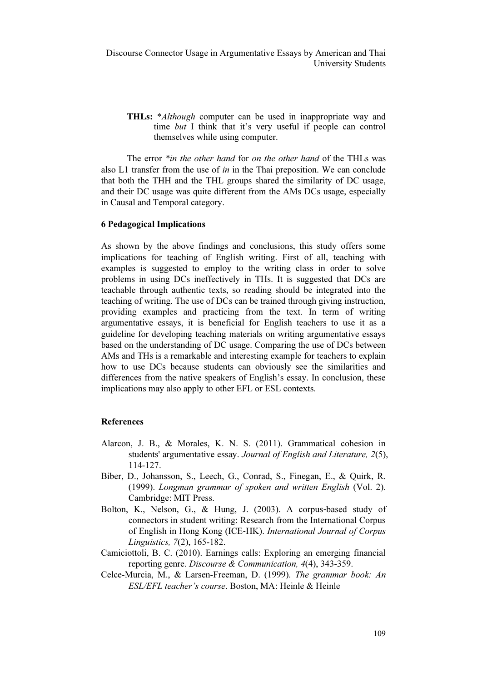THLs: \*Although computer can be used in inappropriate way and time *but* I think that it's very useful if people can control themselves while using computer.

The error \**in the other hand* for *on the other hand* of the THLs was also L1 transfer from the use of in in the Thai preposition. We can conclude that both the THH and the THL groups shared the similarity of DC usage, and their DC usage was quite different from the AMs DCs usage, especially in Causal and Temporal category.

## 6 Pedagogical Implications

As shown by the above findings and conclusions, this study offers some implications for teaching of English writing. First of all, teaching with examples is suggested to employ to the writing class in order to solve problems in using DCs ineffectively in THs. It is suggested that DCs are teachable through authentic texts, so reading should be integrated into the teaching of writing. The use of DCs can be trained through giving instruction, providing examples and practicing from the text. In term of writing argumentative essays, it is beneficial for English teachers to use it as a guideline for developing teaching materials on writing argumentative essays based on the understanding of DC usage. Comparing the use of DCs between AMs and THs is a remarkable and interesting example for teachers to explain how to use DCs because students can obviously see the similarities and differences from the native speakers of English's essay. In conclusion, these implications may also apply to other EFL or ESL contexts.

## References

- Alarcon, J. B., & Morales, K. N. S. (2011). Grammatical cohesion in students' argumentative essay. Journal of English and Literature, 2(5), 114-127.
- Biber, D., Johansson, S., Leech, G., Conrad, S., Finegan, E., & Quirk, R. (1999). Longman grammar of spoken and written English (Vol. 2). Cambridge: MIT Press.
- Hotel, B., Sonalisson, S., Eccen, G., Contact, S., Thegan, E., & Qank, K.<br>
(1999). *Longman grammar of spoken and written English* (Vol. 2).<br>
Cambridge: MIT Press.<br>
Bolton, K., Nelson, G., & Hung, J. (2003). A corpus-based connectors in student writing: Research from the International Corpus of English in Hong Kong (ICE-HK). International Journal of Corpus Linguistics, 7(2), 165-182.
- Camiciottoli, B. C. (2010). Earnings calls: Exploring an emerging financial reporting genre. Discourse & Communication, 4(4), 343-359.
- Celce-Murcia, M., & Larsen-Freeman, D. (1999). The grammar book: An ESL/EFL teacher's course. Boston, MA: Heinle & Heinle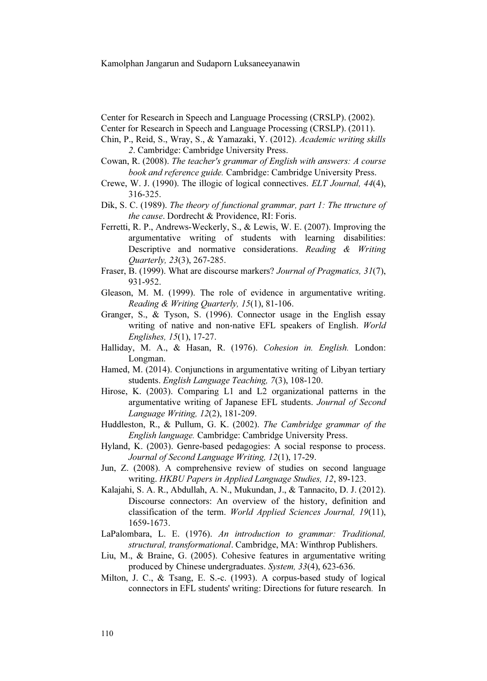Center for Research in Speech and Language Processing (CRSLP). (2002).

- Center for Research in Speech and Language Processing (CRSLP). (2011).
- Chin, P., Reid, S., Wray, S., & Yamazaki, Y. (2012). Academic writing skills 2. Cambridge: Cambridge University Press.
- Cowan, R. (2008). The teacher's grammar of English with answers: A course book and reference guide. Cambridge: Cambridge University Press.
- Crewe, W. J. (1990). The illogic of logical connectives. ELT Journal, 44(4), 316-325.
- Dik, S. C. (1989). The theory of functional grammar, part 1: The ttructure of the cause. Dordrecht & Providence, RI: Foris.
- Ferretti, R. P., Andrews-Weckerly, S., & Lewis, W. E. (2007). Improving the argumentative writing of students with learning disabilities: Descriptive and normative considerations. Reading & Writing Quarterly, 23(3), 267-285.
- Fraser, B. (1999). What are discourse markers? Journal of Pragmatics, 31(7), 931-952.
- Gleason, M. M. (1999). The role of evidence in argumentative writing.
- Reading & Writing Quarterly,  $15(1)$ , 81-106.<br>
r, S., & Tyson, S. (1996). Connector usage<br>
writing of native and non-native EFL spea Granger, S., & Tyson, S. (1996). Connector usage in the English essay writing of native and non-native EFL speakers of English. World Englishes, 15(1), 17-27.
- Halliday, M. A., & Hasan, R. (1976). Cohesion in. English. London: Longman.
- Hamed, M. (2014). Conjunctions in argumentative writing of Libyan tertiary students. English Language Teaching, 7(3), 108-120.
- Hirose, K. (2003). Comparing L1 and L2 organizational patterns in the argumentative writing of Japanese EFL students. Journal of Second Language Writing, 12(2), 181-209.
- Huddleston, R., & Pullum, G. K. (2002). The Cambridge grammar of the English language. Cambridge: Cambridge University Press.
- Hyland, K. (2003). Genre-based pedagogies: A social response to process. Journal of Second Language Writing, 12(1), 17-29.
- Jun, Z. (2008). A comprehensive review of studies on second language writing. HKBU Papers in Applied Language Studies, 12, 89-123.
- Kalajahi, S. A. R., Abdullah, A. N., Mukundan, J., & Tannacito, D. J. (2012). Discourse connectors: An overview of the history, definition and classification of the term. World Applied Sciences Journal, 19(11), 1659-1673.
- LaPalombara, L. E. (1976). An introduction to grammar: Traditional, structural, transformational. Cambridge, MA: Winthrop Publishers.
- Liu, M., & Braine, G. (2005). Cohesive features in argumentative writing produced by Chinese undergraduates. System, 33(4), 623-636.
- Milton, J. C., & Tsang, E. S.-c. (1993). A corpus-based study of logical connectors in EFL students' writing: Directions for future research. In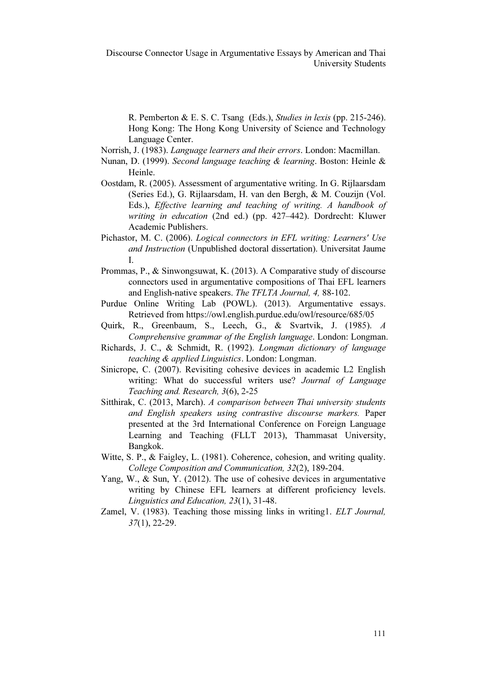R. Pemberton & E. S. C. Tsang (Eds.), Studies in lexis (pp. 215-246). Hong Kong: The Hong Kong University of Science and Technology Language Center.

- Norrish, J. (1983). Language learners and their errors. London: Macmillan.
- Nunan, D. (1999). Second language teaching & learning. Boston: Heinle & Heinle.
- Oostdam, R. (2005). Assessment of argumentative writing. In G. Rijlaarsdam (Series Ed.), G. Rijlaarsdam, H. van den Bergh, & M. Couzijn (Vol. Eds.), Effective learning and teaching of writing. A handbook of writing in education (2nd ed.) (pp. 427–442). Dordrecht: Kluwer Academic Publishers.
- Pichastor, M. C. (2006). Logical connectors in EFL writing: Learners' Use and Instruction (Unpublished doctoral dissertation). Universitat Jaume I.
- Prommas, P., & Sinwongsuwat, K. (2013). A Comparative study of discourse connectors used in argumentative compositions of Thai EFL learners and English-native speakers. The TFLTA Journal, 4, 88-102.
- Purdue Online Writing Lab (POWL). (2013). Argumentative essays. Retrieved from https://owl.english.purdue.edu/owl/resource/685/05
- Quirk, R., Greenbaum, S., Leech, G., & Svartvik, J. (1985). A Comprehensive grammar of the English language. London: Longman.
- Richards, J. C., & Schmidt, R. (1992). Longman dictionary of language teaching & applied Linguistics. London: Longman.
- Sinicrope, C. (2007). Revisiting cohesive devices in academic L2 English writing: What do successful writers use? Journal of Language Teaching and. Research, 3(6), 2-25
- Sitthirak, C. (2013, March). A comparison between Thai university students and English speakers using contrastive discourse markers. Paper presented at the 3rd International Conference on Foreign Language Learning and Teaching (FLLT 2013), Thammasat University, Bangkok.
- Witte, S. P., & Faigley, L. (1981). Coherence, cohesion, and writing quality. College Composition and Communication, 32(2), 189-204.
- Yang, W., & Sun, Y. (2012). The use of cohesive devices in argumentative writing by Chinese EFL learners at different proficiency levels. Linguistics and Education, 23(1), 31-48.
- Zamel, V. (1983). Teaching those missing links in writing1. ELT Journal, 37(1), 22-29.